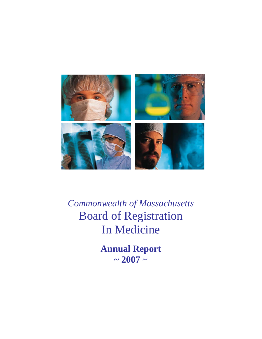

*Commonwealth of Massachusetts*  Board of Registration In Medicine

> **Annual Report**   $\sim 2007 \sim$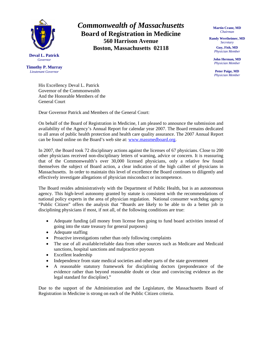

**Timothy P. Murray**  *Lieutenant Governor* 

*Commonwealth of Massachusetts*  **Board of Registration in Medicine 560 Harrison Avenue Boston, Massachusetts 02118** 

**Martin Crane, MD**  *Chairman* 

**Randy Wertheimer, MD**  *Secretary* 

> **Guy, Fish, MD**  *Physician Member*

**John Herman, MD**  *Physician Member* 

**Peter Paige, MD**  *Physician Member* 

His Excellency Deval L. Patrick Governor of the Commonwealth And the Honorable Members of the General Court

Dear Governor Patrick and Members of the General Court:

On behalf of the Board of Registration in Medicine, I am pleased to announce the submission and availability of the Agency's Annual Report for calendar year 2007. The Board remains dedicated to all areas of public health protection and health care quality assurance. The 2007 Annual Report can be found online on the Board's web site at: [www.massmedboard.org](http://www.massmedboard.org/).

In 2007, the Board took 72 disciplinary actions against the licenses of 67 physicians. Close to 200 other physicians received non-disciplinary letters of warning, advice or concern. It is reassuring that of the Commonwealth's over 30,000 licensed physicians, only a relative few found themselves the subject of Board action, a clear indication of the high caliber of physicians in Massachusetts. In order to maintain this level of excellence the Board continues to diligently and effectively investigate allegations of physician misconduct or incompetence.

The Board resides administratively with the Department of Public Health, but is an autonomous agency. This high-level autonomy granted by statute is consistent with the recommendations of national policy experts in the area of physician regulation. National consumer watchdog agency "Public Citizen" offers the analysis that "Boards are likely to be able to do a better job in disciplining physicians if most, if not all, of the following conditions are true:

- Adequate funding (all money from license fees going to fund board activities instead of going into the state treasury for general purposes)
- Adequate staffing
- Proactive investigations rather than only following complaints
- The use of all available/reliable data from other sources such as Medicare and Medicaid sanctions, hospital sanctions and malpractice payouts
- Excellent leadership
- Independence from state medical societies and other parts of the state government
- A reasonable statutory framework for disciplining doctors (preponderance of the evidence rather than beyond reasonable doubt or clear and convincing evidence as the legal standard for discipline)."

Due to the support of the Administration and the Legislature, the Massachusetts Board of Registration in Medicine is strong on each of the Public Citizen criteria.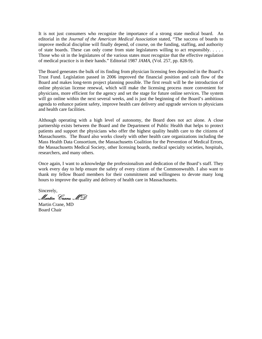It is not just consumers who recognize the importance of a strong state medical board. An editorial in the *Journal of the American Medical Association* stated, "The success of boards to improve medical discipline will finally depend, of course, on the funding, staffing, and authority of state boards. These can only come from state legislatures willing to act responsibly. . . . . Those who sit in the legislatures of the various states must recognize that the effective regulation of medical practice is in their hands." Editorial 1987 *JAMA*, (Vol. 257, pp. 828-9).

The Board generates the bulk of its finding from physician licensing fees deposited in the Board's Trust Fund. Legislation passed in 2006 improved the financial position and cash flow of the Board and makes long-term project planning possible. The first result will be the introduction of online physician license renewal, which will make the licensing process more convenient for physicians, more efficient for the agency and set the stage for future online services. The system will go online within the next several weeks, and is just the beginning of the Board's ambitious agenda to enhance patient safety, improve health care delivery and upgrade services to physicians and health care facilities.

Although operating with a high level of autonomy, the Board does not act alone. A close partnership exists between the Board and the Department of Public Health that helps to protect patients and support the physicians who offer the highest quality health care to the citizens of Massachusetts. The Board also works closely with other health care organizations including the Mass Health Data Consortium, the Massachusetts Coalition for the Prevention of Medical Errors, the Massachusetts Medical Society, other licensing boards, medical specialty societies, hospitals, researchers, and many others.

Once again, I want to acknowledge the professionalism and dedication of the Board's staff. They work every day to help ensure the safety of every citizen of the Commonwealth. I also want to thank my fellow Board members for their commitment and willingness to devote many long hours to improve the quality and delivery of health care in Massachusetts.

Sincerely, Martin Crane, MD

Martin Crane, MD Board Chair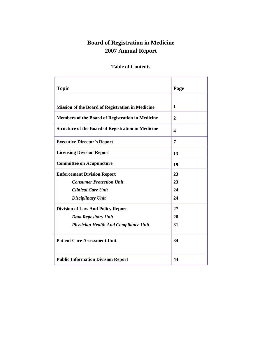# **Board of Registration in Medicine 2007 Annual Report**

# **Table of Contents**

| <b>Topic</b>                                              | Page                    |
|-----------------------------------------------------------|-------------------------|
| <b>Mission of the Board of Registration in Medicine</b>   | 1                       |
| Members of the Board of Registration in Medicine          | $\overline{2}$          |
| <b>Structure of the Board of Registration in Medicine</b> | $\overline{\mathbf{4}}$ |
| <b>Executive Director's Report</b>                        | 7                       |
| <b>Licensing Division Report</b>                          | 13                      |
| <b>Committee on Acupuncture</b>                           | 19                      |
| <b>Enforcement Division Report</b>                        | 23                      |
| <b>Consumer Protection Unit</b>                           | 23                      |
| <b>Clinical Care Unit</b>                                 | 24                      |
| <b>Disciplinary Unit</b>                                  | 24                      |
| <b>Division of Law And Policy Report</b>                  | 27                      |
| <b>Data Repository Unit</b>                               | 28                      |
| <b>Physician Health And Compliance Unit</b>               | 31                      |
| <b>Patient Care Assessment Unit</b>                       | 34                      |
| <b>Public Information Division Report</b>                 | 44                      |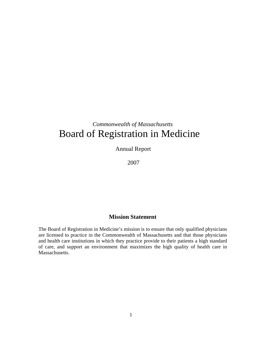# *Commonwealth of Massachusetts*  Board of Registration in Medicine

Annual Report

2007

# **Mission Statement**

The Board of Registration in Medicine's mission is to ensure that only qualified physicians are licensed to practice in the Commonwealth of Massachusetts and that those physicians and health care institutions in which they practice provide to their patients a high standard of care, and support an environment that maximizes the high quality of health care in Massachusetts.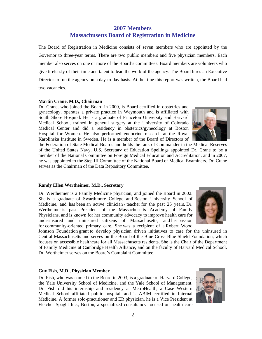Dr. Wertheimer is a Family Medicine physician, and joined the Board in 2002. She is a graduate of Swarthmore College and Boston University School of Medicine, and has been an active clinician / teacher for the past 25 years. Dr. Wertheimer is past President of the Massachusetts Academy of Family Physicians, and is known for her community advocacy to improve health care for underinsured and uninsured citizens of Massachusetts, and her passion for community-oriented primary care. She was a recipient of a Robert Wood

Johnson Foundation grant to develop physician driven initiatives to care for the uninsured in Central Massachusetts and serves on the Board of the Blue Cross Blue Shield Foundation, which focuses on accessible healthcare for all Massachusetts residents. She is the Chair of the Department of Family Medicine at Cambridge Health Alliance, and on the faculty of Harvard Medical School. Dr. Wertheimer serves on the Board's Complaint Committee.

#### **Guy Fish, M.D., Physician Member**

**Randy Ellen Wertheimer, M.D., Secretary** 

Dr. Fish, who was named to the Board in 2003, is a graduate of Harvard College, the Yale University School of Medicine, and the Yale School of Management. Dr. Fish did his internship and residency at MetroHealth, a Case Western Medical School affiliated public hospital, and is ABIM certified in Internal Medicine. A former solo-practitioner and ER physician, he is a Vice President at Fletcher Spaght Inc., Boston, a specialized consultancy focused on health care

# **2007 Members Massachusetts Board of Registration in Medicine**

The Board of Registration in Medicine consists of seven members who are appointed by the Governor to three-year terms. There are two public members and five physician members. Each member also serves on one or more of the Board's committees. Board members are volunteers who give tirelessly of their time and talent to lead the work of the agency. The Board hires an Executive Director to run the agency on a day-to-day basis. At the time this report was written, the Board had two vacancies.

#### **Martin Crane, M.D., Chairman**

Dr. Crane, who joined the Board in 2000, is Board-certified in obstetrics and gynecology, operates a private practice in Weymouth and is affiliated with South Shore Hospital. He is a graduate of Princeton University and Harvard Medical School, trained in general surgery at the University of Colorado Medical Center and did a residency in obstetrics/gynecology at Boston Hospital for Women. He also performed endocrine research at the Royal Karolinska Institute in Sweden. He is a member of the Board of Directors of

the Federation of State Medical Boards and holds the rank of Commander in the Medical Reserves of the United States Navy. U.S. Secretary of Education Spellings appointed Dr. Crane to be a member of the National Committee on Foreign Medical Education and Accreditation, and in 2007, he was appointed to the Step III Committee of the National Board of Medical Examiners. Dr. Crane serves as the Chairman of the Data Repository Committee.





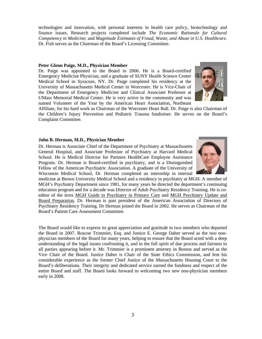technologies and innovation, with personal interests in health care policy, biotechnology and finance issues. Research projects completed include *The Economic Rationale for Cultural Competency in Medicine*; and *Magnitude Estimates of Fraud, Waste, and Abuse in U.S. Healthcare*. Dr. Fish serves as the Chairman of the Board's Licensing Committee.

#### **Peter Glenn Paige, M.D., Physician Member**

Dr. Paige was appointed to the Board in 2006. He is a Board-certified Emergency Medicine Physician, and a graduate of SUNY Health Science Center Medical School in Syracuse, NY. Dr. Paige completed his residency at the University of Massachusetts Medical Center in Worcester. He is Vice-Chair of the Department of Emergency Medicine and Clinical Associate Professor at UMass Memorial Medical Center. He is very active in the community and was named Volunteer of the Year by the American Heart Association, Northeast



Affiliate, for his hard work as Chairman of the Worcester Heart Ball. Dr. Paige is also Chairman of the Children's Injury Prevention and Pediatric Trauma fundraiser. He serves on the Board's Complaint Committee.

#### **John B. Herman, M.D., Physician Member**

Dr. Herman is Associate Chief of the Department of Psychiatry at Massachusetts General Hospital, and Associate Professor of Psychiatry at Harvard Medical School. He is Medical Director for Partners HealthCare Employee Assistance Program. Dr. Herman is Board-certified in psychiatry, and is a Distinguished Fellow of the American Psychiatric Association. A graduate of the University of Wisconsin Medical School, Dr. Herman completed an internship in internal



medicine at Brown University Medical School and a residency in psychiatry at MGH. A member of MGH's Psychiatry Department since 1981, for many years he directed the department's continuing education program and for a decade was Director of Adult Psychiatry Residency Training. He is coeditor of the texts MGH Guide to Psychiatry in Primary Care and MGH Psychiatry Update and Board Preparation. Dr. Herman is past president of the American Association of Directors of Psychiatry Residency Training. Dr Herman joined the Board in 2002. He serves as Chairman of the Board's Patient Care Assessment Committee.

The Board would like to express its great appreciation and gratitude to two members who departed the Board in 2007. Roscoe Trimmier, Esq. and Justice E. George Daher served as the two nonphysician members of the Board for many years, helping to ensure that the Board acted with a deep understanding of the legal issues confronting it, and in the full spirit of due process and fairness to all parties appearing before it. Mr. Trimmier is a prominent attorney in Boston and served as the Vice Chair of the Board. Justice Daher is Chair of the State Ethics Commission, and lent his considerable experience as the former Chief Justice of the Massachusetts Housing Court to the Board's deliberations. Their integrity and dedicated service earned the fondness and respect of the entire Board and staff. The Board looks forward to welcoming two new non-physician members early in 2008.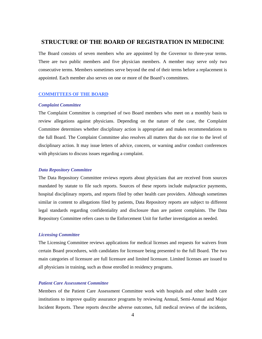# **STRUCTURE OF THE BOARD OF REGISTRATION IN MEDICINE**

The Board consists of seven members who are appointed by the Governor to three-year terms. There are two public members and five physician members. A member may serve only two consecutive terms. Members sometimes serve beyond the end of their terms before a replacement is appointed. Each member also serves on one or more of the Board's committees.

#### **COMMITTEES OF THE BOARD**

#### *Complaint Committee*

The Complaint Committee is comprised of two Board members who meet on a monthly basis to review allegations against physicians. Depending on the nature of the case, the Complaint Committee determines whether disciplinary action is appropriate and makes recommendations to the full Board. The Complaint Committee also resolves all matters that do not rise to the level of disciplinary action. It may issue letters of advice, concern, or warning and/or conduct conferences with physicians to discuss issues regarding a complaint.

#### *Data Repository Committee*

The Data Repository Committee reviews reports about physicians that are received from sources mandated by statute to file such reports. Sources of these reports include malpractice payments, hospital disciplinary reports, and reports filed by other health care providers. Although sometimes similar in content to allegations filed by patients, Data Repository reports are subject to different legal standards regarding confidentiality and disclosure than are patient complaints. The Data Repository Committee refers cases to the Enforcement Unit for further investigation as needed.

#### *Licensing Committee*

The Licensing Committee reviews applications for medical licenses and requests for waivers from certain Board procedures, with candidates for licensure being presented to the full Board. The two main categories of licensure are full licensure and limited licensure. Limited licenses are issued to all physicians in training, such as those enrolled in residency programs.

#### *Patient Care Assessment Committee*

Members of the Patient Care Assessment Committee work with hospitals and other health care institutions to improve quality assurance programs by reviewing Annual, Semi-Annual and Major Incident Reports. These reports describe adverse outcomes, full medical reviews of the incidents,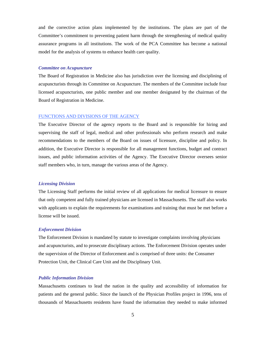and the corrective action plans implemented by the institutions. The plans are part of the Committee's commitment to preventing patient harm through the strengthening of medical quality assurance programs in all institutions. The work of the PCA Committee has become a national model for the analysis of systems to enhance health care quality.

#### *Committee on Acupuncture*

The Board of Registration in Medicine also has jurisdiction over the licensing and disciplining of acupuncturists through its Committee on Acupuncture. The members of the Committee include four licensed acupuncturists, one public member and one member designated by the chairman of the Board of Registration in Medicine.

#### FUNCTIONS AND DIVISIONS OF THE AGENCY

The Executive Director of the agency reports to the Board and is responsible for hiring and supervising the staff of legal, medical and other professionals who perform research and make recommendations to the members of the Board on issues of licensure, discipline and policy. In addition, the Executive Director is responsible for all management functions, budget and contract issues, and public information activities of the Agency. The Executive Director oversees senior staff members who, in turn, manage the various areas of the Agency.

#### *Licensing Division*

The Licensing Staff performs the initial review of all applications for medical licensure to ensure that only competent and fully trained physicians are licensed in Massachusetts. The staff also works with applicants to explain the requirements for examinations and training that must be met before a license will be issued.

#### *Enforcement Division*

The Enforcement Division is mandated by statute to investigate complaints involving physicians and acupuncturists, and to prosecute disciplinary actions. The Enforcement Division operates under the supervision of the Director of Enforcement and is comprised of three units: the Consumer Protection Unit, the Clinical Care Unit and the Disciplinary Unit.

#### *Public Information Division*

Massachusetts continues to lead the nation in the quality and accessibility of information for patients and the general public. Since the launch of the Physician Profiles project in 1996, tens of thousands of Massachusetts residents have found the information they needed to make informed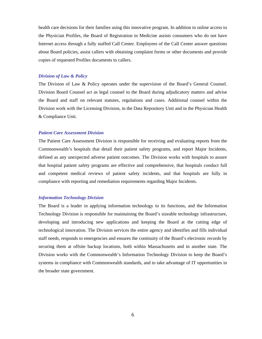health care decisions for their families using this innovative program. In addition to online access to the Physician Profiles, the Board of Registration in Medicine assists consumers who do not have Internet access through a fully staffed Call Center. Employees of the Call Center answer questions about Board policies, assist callers with obtaining complaint forms or other documents and provide copies of requested Profiles documents to callers.

#### *Division of Law & Policy*

The Division of Law & Policy operates under the supervision of the Board's General Counsel. Division Board Counsel act as legal counsel to the Board during adjudicatory matters and advise the Board and staff on relevant statutes, regulations and cases. Additional counsel within the Division work with the Licensing Division, in the Data Repository Unit and in the Physician Health & Compliance Unit.

#### *Patient Care Assessment Division*

The Patient Care Assessment Division is responsible for receiving and evaluating reports from the Commonwealth's hospitals that detail their patient safety programs, and report Major Incidents, defined as any unexpected adverse patient outcomes. The Division works with hospitals to assure that hospital patient safety programs are effective and comprehensive, that hospitals conduct full and competent medical reviews of patient safety incidents, and that hospitals are fully in compliance with reporting and remediation requirements regarding Major Incidents.

#### *Information Technology Division*

The Board is a leader in applying information technology to its functions, and the Information Technology Division is responsible for maintaining the Board's sizeable technology infrastructure, developing and introducing new applications and keeping the Board at the cutting edge of technological innovation. The Division services the entire agency and identifies and fills individual staff needs, responds to emergencies and ensures the continuity of the Board's electronic records by securing them at offsite backup locations, both within Massachusetts and in another state. The Division works with the Commonwealth's Information Technology Division to keep the Board's systems in compliance with Commonwealth standards, and to take advantage of IT opportunities in the broader state government.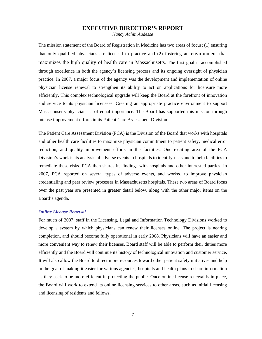# **EXECUTIVE DIRECTOR'S REPORT**

*Nancy Achin Audesse*

The mission statement of the Board of Registration in Medicine has two areas of focus; (1) ensuring that only qualified physicians are licensed to practice and (2) fostering an environment that maximizes the high quality of health care in Massachusetts. The first goal is accomplished through excellence in both the agency's licensing process and its ongoing oversight of physician practice. In 2007, a major focus of the agency was the development and implementation of online physician license renewal to strengthen its ability to act on applications for licensure more efficiently. This complex technological upgrade will keep the Board at the forefront of innovation and service to its physician licensees. Creating an appropriate practice environment to support Massachusetts physicians is of equal importance. The Board has supported this mission through intense improvement efforts in its Patient Care Assessment Division.

The Patient Care Assessment Division (PCA) is the Division of the Board that works with hospitals and other health care facilities to maximize physician commitment to patient safety, medical error reduction, and quality improvement efforts in the facilities. One exciting area of the PCA Division's work is its analysis of adverse events in hospitals to identify risks and to help facilities to remediate these risks. PCA then shares its findings with hospitals and other interested parties. In 2007, PCA reported on several types of adverse events, and worked to improve physician credentialing and peer review processes in Massachusetts hospitals. These two areas of Board focus over the past year are presented in greater detail below, along with the other major items on the Board's agenda.

### *Online License Renewal*

For much of 2007, staff in the Licensing, Legal and Information Technology Divisions worked to develop a system by which physicians can renew their licenses online. The project is nearing completion, and should become fully operational in early 2008. Physicians will have an easier and more convenient way to renew their licenses, Board staff will be able to perform their duties more efficiently and the Board will continue its history of technological innovation and customer service. It will also allow the Board to direct more resources toward other patient safety initiatives and help in the goal of making it easier for various agencies, hospitals and health plans to share information as they seek to be more efficient in protecting the public. Once online license renewal is in place, the Board will work to extend its online licensing services to other areas, such as initial licensing and licensing of residents and fellows.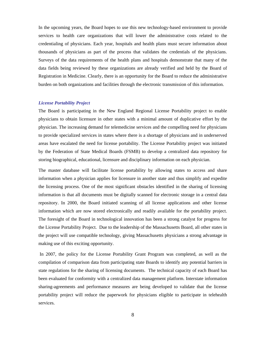In the upcoming years, the Board hopes to use this new technology-based environment to provide services to health care organizations that will lower the administrative costs related to the credentialing of physicians. Each year, hospitals and health plans must secure information about thousands of physicians as part of the process that validates the credentials of the physicians. Surveys of the data requirements of the health plans and hospitals demonstrate that many of the data fields being reviewed by these organizations are already verified and held by the Board of Registration in Medicine. Clearly, there is an opportunity for the Board to reduce the administrative burden on both organizations and facilities through the electronic transmission of this information.

#### *License Portability Project*

The Board is participating in the New England Regional License Portability project to enable physicians to obtain licensure in other states with a minimal amount of duplicative effort by the physician. The increasing demand for telemedicine services and the compelling need for physicians to provide specialized services in states where there is a shortage of physicians and in underserved areas have escalated the need for license portability. The License Portability project was initiated by the Federation of State Medical Boards (FSMB) to develop a centralized data repository for storing biographical, educational, licensure and disciplinary information on each physician.

The master database will facilitate license portability by allowing states to access and share information when a physician applies for licensure in another state and thus simplify and expedite the licensing process. One of the most significant obstacles identified in the sharing of licensing information is that all documents must be digitally scanned for electronic storage in a central data repository. In 2000, the Board initiated scanning of all license applications and other license information which are now stored electronically and readily available for the portability project. The foresight of the Board in technological innovation has been a strong catalyst for progress for the License Portability Project. Due to the leadership of the Massachusetts Board, all other states in the project will use compatible technology, giving Massachusetts physicians a strong advantage in making use of this exciting opportunity.

 In 2007, the policy for the License Portability Grant Program was completed, as well as the compilation of comparison data from participating state Boards to identify any potential barriers in state regulations for the sharing of licensing documents. The technical capacity of each Board has been evaluated for conformity with a centralized data management platform. Interstate information sharing-agreements and performance measures are being developed to validate that the license portability project will reduce the paperwork for physicians eligible to participate in telehealth services.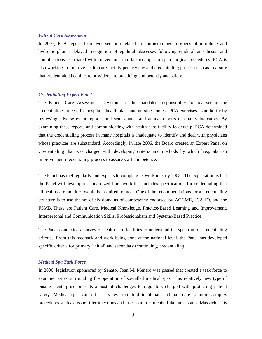#### *Patient Care Assessment*

In 2007, PCA reported on over sedation related to confusion over dosages of morphine and hydromorphone; delayed recognition of epidural abscesses following epidural anesthesia; and complications associated with conversion from laparoscopic to open surgical procedures. PCA is also working to improve health care facility peer review and credentialing processes so as to assure that credentialed health care providers are practicing competently and safely.

#### *Credentialing Expert Panel*

The Patient Care Assessment Division has the mandated responsibility for overseeing the credentialing process for hospitals, health plans and nursing homes. PCA exercises its authority by reviewing adverse event reports, and semi-annual and annual reports of quality indicators. By examining these reports and communicating with health care facility leadership, PCA determined that the credentialing process in many hospitals is inadequate to identify and deal with physicians whose practices are substandard. Accordingly, in late 2006, the Board created an Expert Panel on Credentialing that was charged with developing criteria and methods by which hospitals can improve their credentialing process to assure staff competence.

The Panel has met regularly and expects to complete its work in early 2008. The expectation is that the Panel will develop a standardized framework that includes specifications for credentialing that all health care facilities would be required to meet. One of the recommendations for a credentialing structure is to use the set of six domains of competency endorsed by ACGME, JCAHO, and the FSMB. These are Patient Care, Medical Knowledge, Practice-Based Learning and Improvement, Interpersonal and Communication Skills, Professionalism and Systems-Based Practice.

The Panel conducted a survey of health care facilities to understand the spectrum of credentialing criteria. From this feedback and work being done at the national level, the Panel has developed specific criteria for primary (initial) and secondary (continuing) credentialing.

#### *Medical Spa Task Force*

In 2006, legislation sponsored by Senator Joan M. Menard was passed that created a task force to examine issues surrounding the operation of so-called medical spas. This relatively new type of business enterprise presents a host of challenges to regulators charged with protecting patient safety. Medical spas can offer services from traditional hair and nail care to more complex procedures such as tissue filler injections and laser skin treatments. Like most states, Massachusetts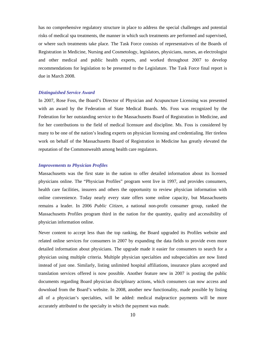has no comprehensive regulatory structure in place to address the special challenges and potential risks of medical spa treatments, the manner in which such treatments are performed and supervised, or where such treatments take place. The Task Force consists of representatives of the Boards of Registration in Medicine, Nursing and Cosmetology, legislators, physicians, nurses, an electrologist and other medical and public health experts, and worked throughout 2007 to develop recommendations for legislation to be presented to the Legislature. The Task Force final report is due in March 2008.

#### *Distinguished Service Award*

In 2007, Rose Foss, the Board's Director of Physician and Acupuncture Licensing was presented with an award by the Federation of State Medical Boards. Ms. Foss was recognized by the Federation for her outstanding service to the Massachusetts Board of Registration in Medicine, and for her contributions to the field of medical licensure and discipline. Ms. Foss is considered by many to be one of the nation's leading experts on physician licensing and credentialing. Her tireless work on behalf of the Massachusetts Board of Registration in Medicine has greatly elevated the reputation of the Commonwealth among health care regulators.

#### *Improvements to Physician Profiles*

Massachusetts was the first state in the nation to offer detailed information about its licensed physicians online. The "Physician Profiles" program went live in 1997, and provides consumers, health care facilities, insurers and others the opportunity to review physician information with online convenience. Today nearly every state offers some online capacity, but Massachusetts remains a leader. In 2006 *Public Citizen*, a national non-profit consumer group, ranked the Massachusetts Profiles program third in the nation for the quantity, quality and accessibility of physician information online.

Never content to accept less than the top ranking, the Board upgraded its Profiles website and related online services for consumers in 2007 by expanding the data fields to provide even more detailed information about physicians. The upgrade made it easier for consumers to search for a physician using multiple criteria. Multiple physician specialties and subspecialties are now listed instead of just one. Similarly, listing unlimited hospital affiliations, insurance plans accepted and translation services offered is now possible. Another feature new in 2007 is posting the public documents regarding Board physician disciplinary actions, which consumers can now access and download from the Board's website. In 2008, another new functionality, made possible by listing all of a physician's specialties, will be added: medical malpractice payments will be more accurately attributed to the specialty in which the payment was made.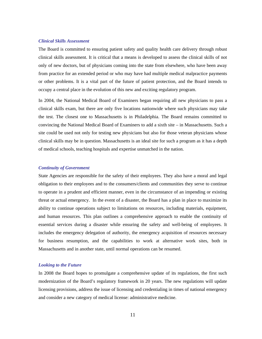#### *Clinical Skills Assessment*

The Board is committed to ensuring patient safety and quality health care delivery through robust clinical skills assessment. It is critical that a means is developed to assess the clinical skills of not only of new doctors, but of physicians coming into the state from elsewhere, who have been away from practice for an extended period or who may have had multiple medical malpractice payments or other problems. It is a vital part of the future of patient protection, and the Board intends to occupy a central place in the evolution of this new and exciting regulatory program.

In 2004, the National Medical Board of Examiners began requiring all new physicians to pass a clinical skills exam, but there are only five locations nationwide where such physicians may take the test. The closest one to Massachusetts is in Philadelphia. The Board remains committed to convincing the National Medical Board of Examiners to add a sixth site – in Massachusetts. Such a site could be used not only for testing new physicians but also for those veteran physicians whose clinical skills may be in question. Massachusetts is an ideal site for such a program as it has a depth of medical schools, teaching hospitals and expertise unmatched in the nation.

#### *Continuity of Government*

State Agencies are responsible for the safety of their employees. They also have a moral and legal obligation to their employees and to the consumers/clients and communities they serve to continue to operate in a prudent and efficient manner, even in the circumstance of an impending or existing threat or actual emergency. In the event of a disaster, the Board has a plan in place to maximize its ability to continue operations subject to limitations on resources, including materials, equipment, and human resources. This plan outlines a comprehensive approach to enable the continuity of essential services during a disaster while ensuring the safety and well-being of employees. It includes the emergency delegation of authority, the emergency acquisition of resources necessary for business resumption, and the capabilities to work at alternative work sites, both in Massachusetts and in another state, until normal operations can be resumed.

#### *Looking to the Future*

In 2008 the Board hopes to promulgate a comprehensive update of its regulations, the first such modernization of the Board's regulatory framework in 20 years. The new regulations will update licensing provisions, address the issue of licensing and credentialing in times of national emergency and consider a new category of medical license: administrative medicine.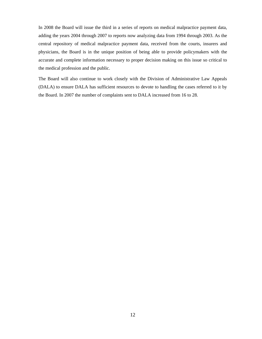In 2008 the Board will issue the third in a series of reports on medical malpractice payment data, adding the years 2004 through 2007 to reports now analyzing data from 1994 through 2003. As the central repository of medical malpractice payment data, received from the courts, insurers and physicians, the Board is in the unique position of being able to provide policymakers with the accurate and complete information necessary to proper decision making on this issue so critical to the medical profession and the public.

The Board will also continue to work closely with the Division of Administrative Law Appeals (DALA) to ensure DALA has sufficient resources to devote to handling the cases referred to it by the Board. In 2007 the number of complaints sent to DALA increased from 16 to 28.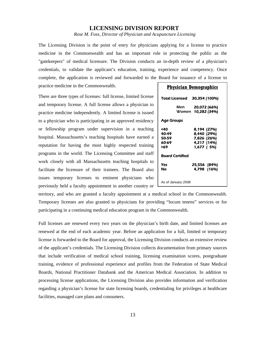# **LICENSING DIVISION REPORT**

*Rose M. Foss, Director of Physician and Acupuncture Licensing* 

The Licensing Division is the point of entry for physicians applying for a license to practice medicine in the Commonwealth and has an important role in protecting the public as the "gatekeepers" of medical licensure. The Division conducts an in-depth review of a physician's credentials, to validate the applicant's education, training, experience and competency. Once complete, the application is reviewed and forwarded to the Board for issuance of a license to

practice medicine in the Commonwealth.

There are three types of licenses: full license, limited license and temporary license. A full license allows a physician to practice medicine independently. A limited license is issued to a physician who is participating in an approved residency or fellowship program under supervision in a teaching hospital. Massachusetts's teaching hospitals have earned a reputation for having the most highly respected training programs in the world. The Licensing Committee and staff work closely with all Massachusetts teaching hospitals to facilitate the licensure of their trainees. The Board also issues temporary licenses to eminent physicians who previously held a faculty appointment in another country or

| <b>Physician Demographics</b>         |                                                                        |  |  |  |  |
|---------------------------------------|------------------------------------------------------------------------|--|--|--|--|
| Total Licensed                        | 30,354 (100%)                                                          |  |  |  |  |
|                                       | Men <b>20,072 (66%)</b><br>Women 10,282 (34%)                          |  |  |  |  |
| Age Groups                            |                                                                        |  |  |  |  |
| <40<br>40-49<br>50-59<br>60-69<br>>69 | 8,194 (27%)<br>8,440 (29%)<br>7,826 (26%)<br>4,217 (14%)<br>1,677 (5%) |  |  |  |  |
| <b>Board Certified</b>                |                                                                        |  |  |  |  |
| Yes<br>Nο                             | 25,556 (84%)<br>4,798 (16%)                                            |  |  |  |  |
| As of January 2008                    |                                                                        |  |  |  |  |

territory, and who are granted a faculty appointment at a medical school in the Commonwealth. Temporary licenses are also granted to physicians for providing "locum tenens" services or for participating in a continuing medical education program in the Commonwealth.

Full licenses are renewed every two years on the physician's birth date, and limited licenses are renewed at the end of each academic year. Before an application for a full, limited or temporary license is forwarded to the Board for approval, the Licensing Division conducts an extensive review of the applicant's credentials. The Licensing Division collects documentation from primary sources that include verification of medical school training, licensing examination scores, postgraduate training, evidence of professional experience and profiles from the Federation of State Medical Boards, National Practitioner Databank and the American Medical Association. In addition to processing license applications, the Licensing Division also provides information and verification regarding a physician's license for state licensing boards, credentialing for privileges at healthcare facilities, managed care plans and consumers.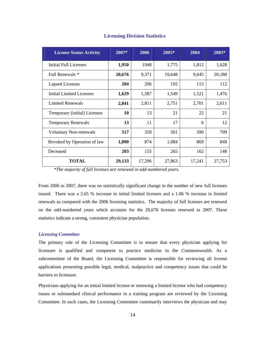| <b>License Status Activity</b> | 2007*  | 2006<br>2005*     |        | 2004   | $2003*$ |
|--------------------------------|--------|-------------------|--------|--------|---------|
| Initial Full Licenses          | 1,950  | 1948              | 1,775  | 1,812  | 1,628   |
| Full Renewals *                | 20,676 | 9,371             | 19,648 | 9,645  | 20,188  |
| <b>Lapsed Licenses</b>         | 204    | 206               | 192    | 113    | 112     |
| Initial Limited Licenses       | 1,629  | 1,587             | 1,549  | 1,521  | 1,476   |
| <b>Limited Renewals</b>        | 2,841  | 2,811             | 2,751  | 2,701  | 2,611   |
| Temporary (initial) Licenses   | 10     | 13                | 21     | 22     | 21      |
| <b>Temporary Renewals</b>      | 13     | 11                | 17     | 6      | 12      |
| <b>Voluntary Non-renewals</b>  | 517    | 320<br>561<br>390 |        | 709    |         |
| Revoked by Operation of law    | 1,090  | 874               | 1,084  | 869    | 848     |
| Deceased                       | 203    | 155               | 265    | 162    | 148     |
| <b>TOTAL</b>                   | 29,133 | 17,296            | 27,863 | 17,241 | 27,753  |

# **Licensing Division Statistics**

 *\*The majority of full licenses are renewed in odd-numbered years.*

From 2006 to 2007, there was no statistically significant change in the number of new full licenses issued. There was a 2.65 % increase in initial limited licenses and a 1.06 % increase in limited renewals as compared with the 2006 licensing statistics. The majority of full licenses are renewed on the odd-numbered years which accounts for the 20,676 licenses renewed in 2007. These statistics indicate a strong, consistent physician population.

#### *Licensing Committee*

The primary role of the Licensing Committee is to ensure that every physician applying for licensure is qualified and competent to practice medicine in the Commonwealth. As a subcommittee of the Board, the Licensing Committee is responsible for reviewing all license applications presenting possible legal, medical, malpractice and competency issues that could be barriers to licensure.

Physicians applying for an initial limited license or renewing a limited license who had competency issues or substandard clinical performance in a training program are reviewed by the Licensing Committee. In such cases, the Licensing Committee customarily interviews the physician and may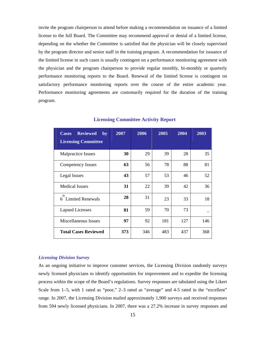invite the program chairperson to attend before making a recommendation on issuance of a limited license to the full Board. The Committee may recommend approval or denial of a limited license, depending on the whether the Committee is satisfied that the physician will be closely supervised by the program director and senior staff in the training program. A recommendation for issuance of the limited license in such cases is usually contingent on a performance monitoring agreement with the physician and the program chairperson to provide regular monthly, bi-monthly or quarterly performance monitoring reports to the Board. Renewal of the limited license is contingent on satisfactory performance monitoring reports over the course of the entire academic year. Performance monitoring agreements are customarily required for the duration of the training program.

| <b>Reviewed</b><br><b>Cases</b><br>by<br><b>Licensing Committee</b> | 2007 | 2006 | 2005 | 2004 | 2003 |
|---------------------------------------------------------------------|------|------|------|------|------|
| Malpractice Issues                                                  | 30   | 29   | 39   | 28   | 35   |
| <b>Competency Issues</b>                                            | 63   | 56   | 78   | 88   | 81   |
| Legal Issues                                                        | 43   | 57   | 53   | 46   | 52   |
| <b>Medical Issues</b>                                               | 31   | 22   | 39   | 42   | 36   |
| th<br>6 Limited Renewals                                            | 28   | 31   | 23   | 33   | 18   |
| <b>Lapsed Licenses</b>                                              | 81   | 59   | 70   | 73   |      |
| Miscellaneous Issues                                                | 97   | 92   | 181  | 127  | 146  |
| <b>Total Cases Reviewed</b>                                         | 373  | 346  | 483  | 437  | 368  |

**Licensing Committee Activity Report**

#### *Licensing Division Survey*

As an ongoing initiative to improve customer services, the Licensing Division randomly surveys newly licensed physicians to identify opportunities for improvement and to expedite the licensing process within the scope of the Board's regulations. Survey responses are tabulated using the Likert Scale from 1–5, with 1 rated as "poor," 2–3 rated as "average" and 4-5 rated in the "excellent" range. In 2007, the Licensing Division mailed approximately 1,900 surveys and received responses from 594 newly licensed physicians. In 2007, there was a 27.2% increase in survey responses and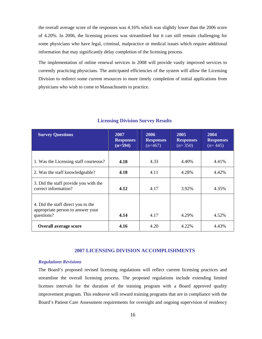the overall average score of the responses was 4.16% which was slightly lower than the 2006 score of 4.20%. In 2006, the licensing process was streamlined but it can still remain challenging for some physicians who have legal, criminal, malpractice or medical issues which require additional information that may significantly delay completion of the licensing process.

The implementation of online renewal services in 2008 will provide vastly improved services to currently practicing physicians. The anticipated efficiencies of the system will allow the Licensing Division to redirect some current resources to more timely completion of initial applications from physicians who wish to come to Massachusetts to practice.

| <b>Survey Questions</b>                                                               | 2007                          | 2006                          | 2005                          | 2004                          |  |
|---------------------------------------------------------------------------------------|-------------------------------|-------------------------------|-------------------------------|-------------------------------|--|
|                                                                                       | <b>Responses</b><br>$(n=594)$ | <b>Responses</b><br>$(n=467)$ | <b>Responses</b><br>$(n=350)$ | <b>Responses</b><br>$(n=445)$ |  |
|                                                                                       |                               |                               |                               |                               |  |
| 1. Was the Licensing staff courteous?                                                 | 4.18                          | 4.33                          | 4.40%                         | 4.41%                         |  |
| 2. Was the staff knowledgeable?                                                       | 4.18                          | 4.11                          | 4.28%                         | 4.42%                         |  |
| 3. Did the staff provide you with the<br>correct information?                         | 4.12                          | 4.17                          | 3.92%                         | 4.35%                         |  |
| 4. Did the staff direct you to the<br>appropriate person to answer your<br>questions? | 4.14                          | 4.17                          | 4.29%                         | 4.52%                         |  |
| <b>Overall average score</b>                                                          | 4.16                          | 4.20                          | 4.22%                         | 4.43%                         |  |

#### **Licensing Division Survey Results**

# **2007 LICENSING DIVISION ACCOMPLISHMENTS**

#### *Regulations Revisions*

The Board's proposed revised licensing regulations will reflect current licensing practices and streamline the overall licensing process. The proposed regulations include extending limited licenses intervals for the duration of the training program with a Board approved quality improvement program. This endeavor will reward training programs that are in compliance with the Board's Patient Care Assessment requirements for oversight and ongoing supervision of residency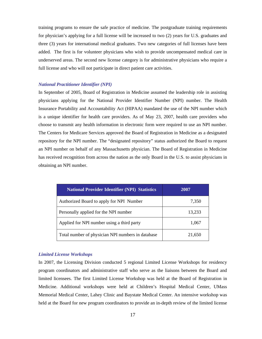training programs to ensure the safe practice of medicine. The postgraduate training requirements for physician's applying for a full license will be increased to two (2) years for U.S. graduates and three (3) years for international medical graduates. Two new categories of full licenses have been added. The first is for volunteer physicians who wish to provide uncompensated medical care in underserved areas. The second new license category is for administrative physicians who require a full license and who will not participate in direct patient care activities.

#### *National Practitioner Identifier (NPI)*

In September of 2005, Board of Registration in Medicine assumed the leadership role in assisting physicians applying for the National Provider Identifier Number (NPI) number. The Health Insurance Portability and Accountability Act (HIPAA) mandated the use of the NPI number which is a unique identifier for health care providers. As of May 23, 2007, health care providers who choose to transmit any health information in electronic form were required to use an NPI number. The Centers for Medicare Services approved the Board of Registration in Medicine as a designated repository for the NPI number. The "designated repository" status authorized the Board to request an NPI number on behalf of any Massachusetts physician. The Board of Registration in Medicine has received recognition from across the nation as the only Board in the U.S. to assist physicians in obtaining an NPI number.

| <b>National Provider Identifier (NPI) Statistics</b> | 2007   |  |  |
|------------------------------------------------------|--------|--|--|
| Authorized Board to apply for NPI Number             | 7,350  |  |  |
| Personally applied for the NPI number                | 13,233 |  |  |
| Applied for NPI number using a third party           | 1,067  |  |  |
| Total number of physician NPI numbers in database    | 21,650 |  |  |

#### *Limited License Workshops*

In 2007, the Licensing Division conducted 5 regional Limited License Workshops for residency program coordinators and administrative staff who serve as the liaisons between the Board and limited licensees. The first Limited License Workshop was held at the Board of Registration in Medicine. Additional workshops were held at Children's Hospital Medical Center, UMass Memorial Medical Center, Lahey Clinic and Baystate Medical Center. An intensive workshop was held at the Board for new program coordinators to provide an in-depth review of the limited license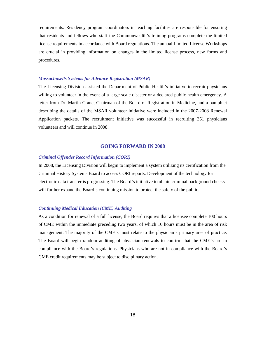requirements. Residency program coordinators in teaching facilities are responsible for ensuring that residents and fellows who staff the Commonwealth's training programs complete the limited license requirements in accordance with Board regulations. The annual Limited License Workshops are crucial in providing information on changes in the limited license process, new forms and procedures.

#### *Massachusetts Systems for Advance Registration (MSAR)*

The Licensing Division assisted the Department of Public Health's initiative to recruit physicians willing to volunteer in the event of a large-scale disaster or a declared public health emergency. A letter from Dr. Martin Crane, Chairman of the Board of Registration in Medicine, and a pamphlet describing the details of the MSAR volunteer initiative were included in the 2007-2008 Renewal Application packets. The recruitment initiative was successful in recruiting 351 physicians volunteers and will continue in 2008.

#### **GOING FORWARD IN 2008**

#### *Criminal Offender Record Information (CORI)*

In 2008, the Licensing Division will begin to implement a system utilizing its certification from the Criminal History Systems Board to access CORI reports. Development of the technology for electronic data transfer is progressing. The Board's initiative to obtain criminal background checks will further expand the Board's continuing mission to protect the safety of the public.

#### *Continuing Medical Education (CME) Auditing*

As a condition for renewal of a full license, the Board requires that a licensee complete 100 hours of CME within the immediate preceding two years, of which 10 hours must be in the area of risk management. The majority of the CME's must relate to the physician's primary area of practice. The Board will begin random auditing of physician renewals to confirm that the CME's are in compliance with the Board's regulations. Physicians who are not in compliance with the Board's CME credit requirements may be subject to disciplinary action.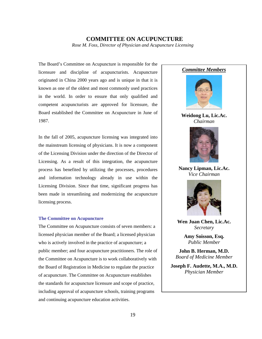### **COMMITTEE ON ACUPUNCTURE**  *Rose M. Foss, Director of Physician and Acupuncture Licensing*

The Board's Committee on Acupuncture is responsible for the licensure and discipline of acupuncturists. Acupuncture originated in China 2000 years ago and is unique in that it is known as one of the oldest and most commonly used practices in the world. In order to ensure that only qualified and competent acupuncturists are approved for licensure, the Board established the Committee on Acupuncture in June of 1987.

In the fall of 2005, acupuncture licensing was integrated into the mainstream licensing of physicians. It is now a component of the Licensing Division under the direction of the Director of Licensing. As a result of this integration, the acupuncture process has benefited by utilizing the processes, procedures and information technology already in use within the Licensing Division. Since that time, significant progress has been made in streamlining and modernizing the acupuncture licensing process.

#### **The Committee on Acupuncture**

The Committee on Acupuncture consists of seven members: a licensed physician member of the Board; a licensed physician who is actively involved in the practice of acupuncture; a public member; and four acupuncture practitioners. The role of the Committee on Acupuncture is to work collaboratively with the Board of Registration in Medicine to regulate the practice of acupuncture. The Committee on Acupuncture establishes the standards for acupuncture licensure and scope of practice, including approval of acupuncture schools, training programs and continuing acupuncture education activities.

# *Committee Members*



**Weidong Lu, Lic.Ac.**  *Chairman* 



**Nancy Lipman, Lic.Ac.** *Vice Chairman* 



**Wen Juan Chen, Lic.Ac.** *Secretary*

> **Amy Soisson, Esq.**  *Public Member*

**John B. Herman, M.D.** *Board of Medicine Member*

**Joseph F. Audette, M.A., M.D.** *Physician Member*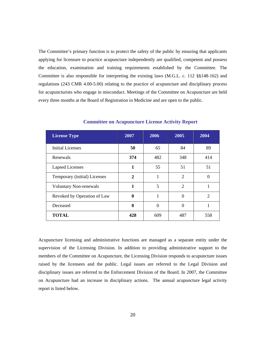The Committee's primary function is to protect the safety of the public by ensuring that applicants applying for licensure to practice acupuncture independently are qualified, competent and possess the education, examination and training requirements established by the Committee. The Committee is also responsible for interpreting the existing laws (M.G.L. c. 112 §§148-162) and regulations (243 CMR 4.00-5.00) relating to the practice of acupuncture and disciplinary process for acupuncturists who engage in misconduct. Meetings of the Committee on Acupuncture are held every three months at the Board of Registration in Medicine and are open to the public.

| <b>License Type</b>           | 2007         | 2006     | 2005                        | 2004           |  |
|-------------------------------|--------------|----------|-----------------------------|----------------|--|
| <b>Initial Licenses</b>       | 50           | 65       | 84                          | 89             |  |
| Renewals                      | 374          | 482      | 348                         | 414            |  |
| <b>Lapsed Licenses</b>        | 1            | 55       | 51                          | 51             |  |
| Temporary (initial) Licenses  | $\mathbf{2}$ | 1        | $\mathcal{D}_{\mathcal{L}}$ | $\Omega$       |  |
| <b>Voluntary Non-renewals</b> | 1            | 5        | $\overline{2}$              |                |  |
| Revoked by Operation of Law   | $\mathbf{0}$ |          | $\Omega$                    | $\mathfrak{D}$ |  |
| Deceased                      | $\mathbf{0}$ | $\Omega$ | $\Omega$                    |                |  |
| <b>TOTAL</b>                  | 428          | 609      | 487                         | 558            |  |

**Committee on Acupuncture License Activity Report** 

Acupuncture licensing and administrative functions are managed as a separate entity under the supervision of the Licensing Division. In addition to providing administrative support to the members of the Committee on Acupuncture, the Licensing Division responds to acupuncture issues raised by the licensees and the public. Legal issues are referred to the Legal Division and disciplinary issues are referred to the Enforcement Division of the Board. In 2007, the Committee on Acupuncture had an increase in disciplinary actions. The annual acupuncture legal activity report is listed below.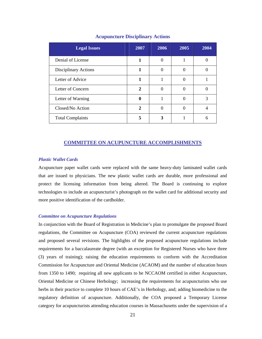| <b>Legal Issues</b>     | 2007         | 2006     | 2005              | 2004 |
|-------------------------|--------------|----------|-------------------|------|
| Denial of License       |              | 0        |                   |      |
| Disciplinary Actions    |              | $\Omega$ |                   |      |
| Letter of Advice        |              |          | 0                 |      |
| Letter of Concern       | $\mathbf{2}$ | 0        | $\mathbf{\Omega}$ |      |
| Letter of Warning       | $\mathbf 0$  |          | $\Omega$          | 3    |
| Closed/No Action        | 2            | 0        | 0                 | 4    |
| <b>Total Complaints</b> | 5            | 3        |                   | 6    |

#### **Acupuncture Disciplinary Actions**

#### **COMMITTEE ON ACUPUNCTURE ACCOMPLISHMENTS**

#### *Plastic Wallet Cards*

Acupuncture paper wallet cards were replaced with the same heavy-duty laminated wallet cards that are issued to physicians. The new plastic wallet cards are durable, more professional and protect the licensing information from being altered. The Board is continuing to explore technologies to include an acupuncturist's photograph on the wallet card for additional security and more positive identification of the cardholder.

#### *Committee on Acupuncture Regulations*

In conjunction with the Board of Registration in Medicine's plan to promulgate the proposed Board regulations, the Committee on Acupuncture (COA) reviewed the current acupuncture regulations and proposed several revisions. The highlights of the proposed acupuncture regulations include requirements for a baccalaureate degree (with an exception for Registered Nurses who have three (3) years of training); raising the education requirements to conform with the Accreditation Commission for Acupuncture and Oriental Medicine (ACAOM) and the number of education hours from 1350 to 1490; requiring all new applicants to be NCCAOM certified in either Acupuncture, Oriental Medicine or Chinese Herbology; increasing the requirements for acupuncturists who use herbs in their practice to complete 10 hours of CAE's in Herbology, and; adding biomedicine to the regulatory definition of acupuncture. Additionally, the COA proposed a Temporary License category for acupuncturists attending education courses in Massachusetts under the supervision of a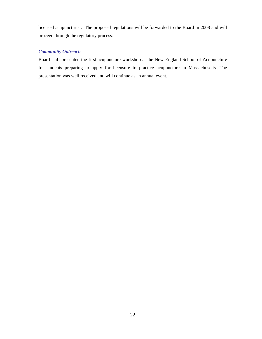licensed acupuncturist. The proposed regulations will be forwarded to the Board in 2008 and will proceed through the regulatory process.

# *Community Outreach*

Board staff presented the first acupuncture workshop at the New England School of Acupuncture for students preparing to apply for licensure to practice acupuncture in Massachusetts. The presentation was well received and will continue as an annual event.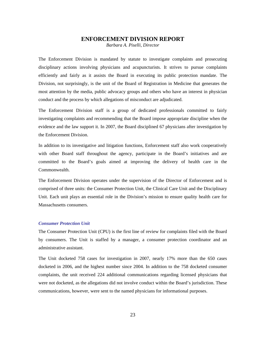# **ENFORCEMENT DIVISION REPORT**

*Barbara A. Piselli, Director*

The Enforcement Division is mandated by statute to investigate complaints and prosecuting disciplinary actions involving physicians and acupuncturists. It strives to pursue complaints efficiently and fairly as it assists the Board in executing its public protection mandate. The Division, not surprisingly, is the unit of the Board of Registration in Medicine that generates the most attention by the media, public advocacy groups and others who have an interest in physician conduct and the process by which allegations of misconduct are adjudicated.

The Enforcement Division staff is a group of dedicated professionals committed to fairly investigating complaints and recommending that the Board impose appropriate discipline when the evidence and the law support it. In 2007, the Board disciplined 67 physicians after investigation by the Enforcement Division.

In addition to its investigative and litigation functions, Enforcement staff also work cooperatively with other Board staff throughout the agency, participate in the Board's initiatives and are committed to the Board's goals aimed at improving the delivery of health care in the Commonwealth.

The Enforcement Division operates under the supervision of the Director of Enforcement and is comprised of three units: the Consumer Protection Unit, the Clinical Care Unit and the Disciplinary Unit. Each unit plays an essential role in the Division's mission to ensure quality health care for Massachusetts consumers.

#### *Consumer Protection Unit*

The Consumer Protection Unit (CPU) is the first line of review for complaints filed with the Board by consumers. The Unit is staffed by a manager, a consumer protection coordinator and an administrative assistant.

The Unit docketed 758 cases for investigation in 2007, nearly 17% more than the 650 cases docketed in 2006, and the highest number since 2004. In addition to the 758 docketed consumer complaints, the unit received 224 additional communications regarding licensed physicians that were not docketed, as the allegations did not involve conduct within the Board's jurisdiction. These communications, however, were sent to the named physicians for informational purposes.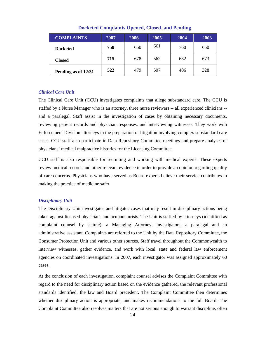| <b>COMPLAINTS</b>   | 2007 | 2006 | 2005 | 2004 | 2003 |
|---------------------|------|------|------|------|------|
| <b>Docketed</b>     | 758  | 650  | 661  | 760  | 650  |
| <b>Closed</b>       | 715  | 678  | 562  | 682  | 673  |
| Pending as of 12/31 | 522  | 479  | 507  | 406  | 328  |

**Docketed Complaints Opened, Closed, and Pending** 

#### *Clinical Care Unit*

The Clinical Care Unit (CCU) investigates complaints that allege substandard care. The CCU is staffed by a Nurse Manager who is an attorney, three nurse reviewers -- all experienced clinicians - and a paralegal. Staff assist in the investigation of cases by obtaining necessary documents, reviewing patient records and physician responses, and interviewing witnesses. They work with Enforcement Division attorneys in the preparation of litigation involving complex substandard care cases. CCU staff also participate in Data Repository Committee meetings and prepare analyses of physicians' medical malpractice histories for the Licensing Committee.

CCU staff is also responsible for recruiting and working with medical experts. These experts review medical records and other relevant evidence in order to provide an opinion regarding quality of care concerns. Physicians who have served as Board experts believe their service contributes to making the practice of medicine safer.

#### *Disciplinary Unit*

The Disciplinary Unit investigates and litigates cases that may result in disciplinary actions being taken against licensed physicians and acupuncturists. The Unit is staffed by attorneys (identified as complaint counsel by statute), a Managing Attorney, investigators, a paralegal and an administrative assistant. Complaints are referred to the Unit by the Data Repository Committee, the Consumer Protection Unit and various other sources. Staff travel throughout the Commonwealth to interview witnesses, gather evidence, and work with local, state and federal law enforcement agencies on coordinated investigations. In 2007, each investigator was assigned approximately 60 cases.

At the conclusion of each investigation, complaint counsel advises the Complaint Committee with regard to the need for disciplinary action based on the evidence gathered, the relevant professional standards identified, the law and Board precedent. The Complaint Committee then determines whether disciplinary action is appropriate, and makes recommendations to the full Board. The Complaint Committee also resolves matters that are not serious enough to warrant discipline, often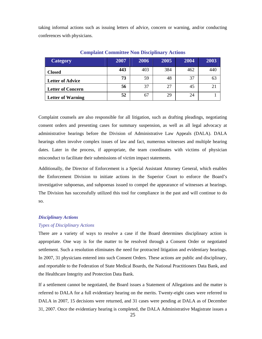taking informal actions such as issuing letters of advice, concern or warning, and/or conducting conferences with physicians.

| <b>Category</b>          | 2007 | 2006 | 2005 | 2004 | 2003 |
|--------------------------|------|------|------|------|------|
| <b>Closed</b>            | 443  | 403  | 384  | 462  | 440  |
| <b>Letter of Advice</b>  | 73   | 59   | 48   | 37   | 63   |
| <b>Letter of Concern</b> | 56   | 37   | 27   | 45   |      |
| <b>Letter of Warning</b> | 52   | 67   | 29   | 24   |      |

#### **Complaint Committee Non Disciplinary Actions**

Complaint counsels are also responsible for all litigation, such as drafting pleadings, negotiating consent orders and presenting cases for summary suspension, as well as all legal advocacy at administrative hearings before the Division of Administrative Law Appeals (DALA). DALA hearings often involve complex issues of law and fact, numerous witnesses and multiple hearing dates. Later in the process, if appropriate, the team coordinates with victims of physician misconduct to facilitate their submissions of victim impact statements.

Additionally, the Director of Enforcement is a Special Assistant Attorney General, which enables the Enforcement Division to initiate actions in the Superior Court to enforce the Board's investigative subpoenas, and subpoenas issued to compel the appearance of witnesses at hearings. The Division has successfully utilized this tool for compliance in the past and will continue to do so.

#### *Disciplinary Actions*

#### *Types of Disciplinary Actions*

There are a variety of ways to resolve a case if the Board determines disciplinary action is appropriate. One way is for the matter to be resolved through a Consent Order or negotiated settlement. Such a resolution eliminates the need for protracted litigation and evidentiary hearings. In 2007, 31 physicians entered into such Consent Orders. These actions are public and disciplinary, and reportable to the Federation of State Medical Boards, the National Practitioners Data Bank, and the Healthcare Integrity and Protection Data Bank.

If a settlement cannot be negotiated, the Board issues a Statement of Allegations and the matter is referred to DALA for a full evidentiary hearing on the merits. Twenty-eight cases were referred to DALA in 2007, 15 decisions were returned, and 31 cases were pending at DALA as of December 31, 2007. Once the evidentiary hearing is completed, the DALA Administrative Magistrate issues a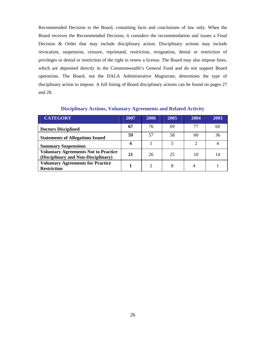Recommended Decision to the Board, containing facts and conclusions of law only. When the Board receives the Recommended Decision, it considers the recommendation and issues a Final Decision & Order that may include disciplinary action. Disciplinary actions may include revocation, suspension, censure, reprimand, restriction, resignation, denial or restriction of privileges or denial or restriction of the right to renew a license. The Board may also impose fines, which are deposited directly in the Commonwealth's General Fund and do not support Board operations. The Board, not the DALA Administrative Magistrate, determines the type of disciplinary action to impose. A full listing of Board disciplinary actions can be found on pages 27 and 28.

| <b>CATEGORY</b>                                                                    | 2007 | 2006 | 2005 | 2004 | 2003 |
|------------------------------------------------------------------------------------|------|------|------|------|------|
| <b>Doctors Disciplined</b>                                                         | 67   | 76   | 69   | 77   | 60   |
| <b>Statements of Allegations Issued</b>                                            | 59   | 57   | 58   | 60   | 36   |
| <b>Summary Suspensions</b>                                                         | 4    |      | ς    | C    |      |
| <b>Voluntary Agreements Not to Practice</b><br>(Disciplinary and Non-Disciplinary) | 21   | 26   | 25   | 10   |      |
| <b>Voluntary Agreements for Practice</b><br><b>Restriction</b>                     |      | 2    | 8    |      |      |

#### **Disciplinary Actions, Voluntary Agreements and Related Activity**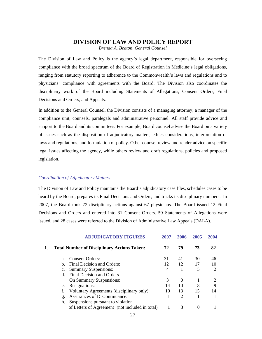#### **DIVISION OF LAW AND POLICY REPORT**

*Brenda A. Beaton, General Counsel* 

The Division of Law and Policy is the agency's legal department, responsible for overseeing compliance with the broad spectrum of the Board of Registration in Medicine's legal obligations, ranging from statutory reporting to adherence to the Commonwealth's laws and regulations and to physicians' compliance with agreements with the Board. The Division also coordinates the disciplinary work of the Board including Statements of Allegations, Consent Orders, Final Decisions and Orders, and Appeals.

In addition to the General Counsel, the Division consists of a managing attorney, a manager of the compliance unit, counsels, paralegals and administrative personnel. All staff provide advice and support to the Board and its committees. For example, Board counsel advise the Board on a variety of issues such as the disposition of adjudicatory matters, ethics considerations, interpretation of laws and regulations, and formulation of policy. Other counsel review and render advice on specific legal issues affecting the agency, while others review and draft regulations, policies and proposed legislation.

#### *Coordination of Adjudicatory Matters*

The Division of Law and Policy maintains the Board's adjudicatory case files, schedules cases to be heard by the Board, prepares its Final Decisions and Orders, and tracks its disciplinary numbers. In 2007, the Board took 72 disciplinary actions against 67 physicians. The Board issued 12 Final Decisions and Orders and entered into 31 Consent Orders. 59 Statements of Allegations were issued, and 28 cases were referred to the Division of Administrative Law Appeals (DALA).

|                | <b>ADJUDICATORY FIGURES</b>                        | 2007 | 2006           | 2005 | 2004                        |
|----------------|----------------------------------------------------|------|----------------|------|-----------------------------|
|                | <b>Total Number of Disciplinary Actions Taken:</b> | 72   | 79             | 73   | 82                          |
| a.             | <b>Consent Orders:</b>                             | 31   | 41             | 30   | 46                          |
| b.             | Final Decision and Orders:                         | 12   | 12             | 17   | 10                          |
| $\mathbf{c}$ . | <b>Summary Suspensions:</b>                        | 4    |                | 5    | $\mathcal{D}_{\mathcal{L}}$ |
| <sub>d</sub>   | Final Decision and Orders                          |      |                |      |                             |
|                | On Summary Suspensions:                            | 3    | $\Omega$       |      |                             |
| e.             | Resignations:                                      | 14   | 10             | 8    | 9                           |
| f.             | Voluntary Agreements (disciplinary only):          | 10   | 13             | 15   | 14                          |
| g.             | Assurances of Discontinuance:                      |      | $\overline{2}$ |      |                             |
| h.             | Suspensions pursuant to violation                  |      |                |      |                             |
|                | of Letters of Agreement (not included in total)    |      | 3              | 0    |                             |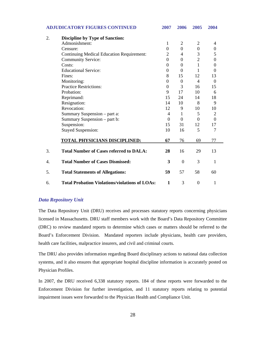| <b>ADJUDICATORY FIGURES CONTINUED</b> |                                                       | 2007             | 2006             | 2005             | 2004             |  |
|---------------------------------------|-------------------------------------------------------|------------------|------------------|------------------|------------------|--|
| 2.                                    | <b>Discipline by Type of Sanction:</b>                |                  |                  |                  |                  |  |
|                                       | Admonishment:                                         | 1                | $\overline{2}$   | $\overline{2}$   | 4                |  |
|                                       | Censure:                                              | $\boldsymbol{0}$ | $\theta$         | $\boldsymbol{0}$ | $\boldsymbol{0}$ |  |
|                                       | <b>Continuing Medical Education Requirement:</b>      | $\mathfrak{2}$   | 4                | 3                | 5                |  |
|                                       | <b>Community Service:</b>                             | $\theta$         | $\overline{0}$   | $\overline{2}$   | $\overline{0}$   |  |
|                                       | Costs:                                                | $\theta$         | $\Omega$         | 1                | $\theta$         |  |
|                                       | <b>Educational Service:</b>                           | $\boldsymbol{0}$ | $\boldsymbol{0}$ | 1                | $\theta$         |  |
|                                       | Fines:                                                | 8                | 15               | 12               | 13               |  |
|                                       | Monitoring:                                           | $\boldsymbol{0}$ | $\boldsymbol{0}$ | 4                | $\Omega$         |  |
|                                       | <b>Practice Restrictions:</b>                         | $\theta$         | 3                | 16               | 15               |  |
|                                       | Probation:                                            | 9                | 17               | 10               | 6                |  |
|                                       | Reprimand:                                            | 15               | 24               | 14               | 18               |  |
|                                       | Resignation:                                          | 14               | 10               | 8                | 9                |  |
|                                       | Revocation:                                           | 12               | 9                | 10               | 10               |  |
|                                       | Summary Suspension - part a:                          | $\overline{4}$   | 1                | 5                | $\overline{2}$   |  |
|                                       | Summary Suspension – part b:                          | $\overline{0}$   | $\theta$         | $\Omega$         | $\theta$         |  |
|                                       | Suspension:                                           | 15               | 31               | 12               | 17               |  |
|                                       | <b>Stayed Suspension:</b>                             | 10               | 16               | 5                | $\overline{7}$   |  |
|                                       | <b>TOTAL PHYSICIANS DISCIPLINED:</b>                  | 67               | 76               | 69               | 77               |  |
|                                       | <b>Total Number of Cases referred to DALA:</b>        | 28               | 16               | 29               | 13               |  |
|                                       | <b>Total Number of Cases Dismissed:</b>               | 3                | $\boldsymbol{0}$ | 3                | 1                |  |
| 5.                                    | <b>Total Statements of Allegations:</b>               | 59               | 57               | 58               | 60               |  |
| 6.                                    | <b>Total Probation Violations/violations of LOAs:</b> | 1                | 3                | $\theta$         | 1                |  |

# *Data Repository Unit*

The Data Repository Unit (DRU) receives and processes statutory reports concerning physicians licensed in Massachusetts. DRU staff members work with the Board's Data Repository Committee (DRC) to review mandated reports to determine which cases or matters should be referred to the Board's Enforcement Division. Mandated reporters include physicians, health care providers, health care facilities, malpractice insurers, and civil and criminal courts.

The DRU also provides information regarding Board disciplinary actions to national data collection systems, and it also ensures that appropriate hospital discipline information is accurately posted on Physician Profiles.

In 2007, the DRU received 6,338 statutory reports. 184 of these reports were forwarded to the Enforcement Division for further investigation, and 11 statutory reports relating to potential impairment issues were forwarded to the Physician Health and Compliance Unit.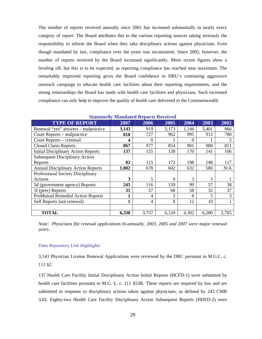The number of reports received annually since 2001 has increased substantially in nearly every category of report. The Board attributes this to the various reporting sources taking seriously the responsibility to inform the Board when they take disciplinary actions against physicians. Even though mandated by law, compliance over the years was inconsistent. Since 2002, however, the number of reports received by the Board increased significantly. More recent figures show a leveling off, but this is to be expected, as reporting compliance has reached near maximum. The remarkably improved reporting gives the Board confidence in DRU's continuing aggressive outreach campaign to educate health care facilities about their reporting requirements, and the strong relationships the Board has made with health care facilities and physicians. Such increased compliance can only help to improve the quality of health care delivered in the Commonwealth.

|                                            | saaanin mamaana Reports Received |          |          |          |       |       |
|--------------------------------------------|----------------------------------|----------|----------|----------|-------|-------|
| <b>TYPE OF REPORT</b>                      | 2007                             | 2006     | 2005     | 2004     | 2003  | 2002  |
| Renewal "yes" answers – malpractice        | 3,143                            | 919      | 3,173    | 1,146    | 3,401 | 866   |
| Court Reports – malpractice                | 818                              | 727      | 962      | 995      | 912   | 780   |
| Court Reports – criminal                   | 4                                | $\Omega$ |          | $\Omega$ |       | 5     |
| <b>Closed Claim Reports</b>                | 867                              | 977      | 854      | 981      | 988   | 811   |
| <b>Initial Disciplinary Action Reports</b> | 137                              | 155      | 138      | 170      | 141   | 106   |
| <b>Subsequent Disciplinary Action</b>      |                                  |          |          |          |       |       |
| Reports                                    | 82                               | 115      | 172      | 198      | 148   | 117   |
| <b>Annual Disciplinary Action Reports</b>  | 1,002                            | 678      | 602      | 632      | 580   | N/A   |
| Professional Society Disciplinary          |                                  |          |          |          |       |       |
| Actions                                    | 3                                | 5        | $\theta$ | 3        | 5     |       |
| 5d (government agency) Reports             | 245                              | 116      | 139      | 99       | 57    | 38    |
| 5f (peer) Reports                          | 31                               | 57       | 68       | 58       | 32    | 37    |
| <b>ProMutual Remedial Action Reports</b>   | 1                                | 4        | 3        | 8        | 5     | 3     |
| Self Reports (not renewal)                 | 5                                | 4        | 8        | 12       | 10    |       |
|                                            |                                  |          |          |          |       |       |
| <b>TOTAL</b>                               | 6,338                            | 3,757    | 6,120    | 4,302    | 6,280 | 2,765 |

**Statutorily Mandated Reports Received** 

*Note: Physicians file renewal applications bi-annually. 2003, 2005 and 2007 were major renewal years.* 

#### *Data Repository Unit Highlights*

3,143 Physician License Renewal Applications were reviewed by the DRC pursuant to M.G.L. c. 112 §2.

137 Health Care Facility Initial Disciplinary Action Initial Reports (HCFD-1) were submitted by health care facilities pursuant to M.G. L. c. 111 §53B. These reports are required by law and are submitted in response to disciplinary actions taken against physicians, as defined by 243 CMR 3.02. Eighty-two Health Care Facility Disciplinary Action Subsequent Reports (HDFD-2) were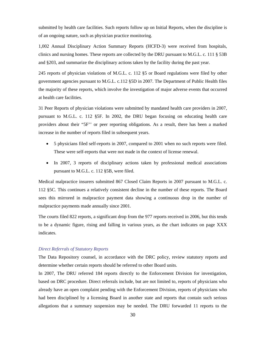submitted by health care facilities. Such reports follow up on Initial Reports, when the discipline is of an ongoing nature, such as physician practice monitoring.

1,002 Annual Disciplinary Action Summary Reports (HCFD-3) were received from hospitals, clinics and nursing homes. These reports are collected by the DRU pursuant to M.G.L. c. 111 § 53B and §203, and summarize the disciplinary actions taken by the facility during the past year.

245 reports of physician violations of M.G.L. c. 112 §5 or Board regulations were filed by other government agencies pursuant to M.G.L. c.112 §5D in 2007. The Department of Public Health files the majority of these reports, which involve the investigation of major adverse events that occurred at health care facilities.

31 Peer Reports of physician violations were submitted by mandated health care providers in 2007, pursuant to M.G.L. c. 112 §5F. In 2002, the DRU began focusing on educating health care providers about their "5F'' or peer reporting obligations. As a result, there has been a marked increase in the number of reports filed in subsequent years.

- 5 physicians filed self-reports in 2007, compared to 2001 when no such reports were filed. These were self-reports that were not made in the context of license renewal.
- In 2007, 3 reports of disciplinary actions taken by professional medical associations pursuant to M.G.L. c. 112 §5B, were filed.

Medical malpractice insurers submitted 867 Closed Claim Reports in 2007 pursuant to M.G.L. c. 112 §5C. This continues a relatively consistent decline in the number of these reports. The Board sees this mirrored in malpractice payment data showing a continuous drop in the number of malpractice payments made annually since 2001.

The courts filed 822 reports, a significant drop from the 977 reports received in 2006, but this tends to be a dynamic figure, rising and falling in various years, as the chart indicates on page XXX indicates.

#### *Direct Referrals of Statutory Reports*

The Data Repository counsel, in accordance with the DRC policy, review statutory reports and determine whether certain reports should be referred to other Board units.

In 2007, The DRU referred 184 reports directly to the Enforcement Division for investigation, based on DRC procedure. Direct referrals include, but are not limited to, reports of physicians who already have an open complaint pending with the Enforcement Division, reports of physicians who had been disciplined by a licensing Board in another state and reports that contain such serious allegations that a summary suspension may be needed. The DRU forwarded 11 reports to the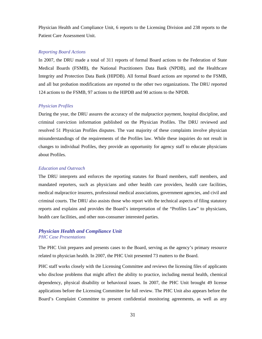Physician Health and Compliance Unit, 6 reports to the Licensing Division and 238 reports to the Patient Care Assessment Unit.

#### *Reporting Board Actions*

In 2007, the DRU made a total of 311 reports of formal Board actions to the Federation of State Medical Boards (FSMB), the National Practitioners Data Bank (NPDB), and the Healthcare Integrity and Protection Data Bank (HIPDB). All formal Board actions are reported to the FSMB, and all but probation modifications are reported to the other two organizations. The DRU reported 124 actions to the FSMB, 97 actions to the HIPDB and 90 actions to the NPDB.

#### *Physician Profiles*

During the year, the DRU assures the accuracy of the malpractice payment, hospital discipline, and criminal conviction information published on the Physician Profiles. The DRU reviewed and resolved 51 Physician Profiles disputes. The vast majority of these complaints involve physician misunderstandings of the requirements of the Profiles law. While these inquiries do not result in changes to individual Profiles, they provide an opportunity for agency staff to educate physicians about Profiles.

#### *Education and Outreach*

The DRU interprets and enforces the reporting statutes for Board members, staff members, and mandated reporters, such as physicians and other health care providers, health care facilities, medical malpractice insurers, professional medical associations, government agencies, and civil and criminal courts. The DRU also assists those who report with the technical aspects of filing statutory reports and explains and provides the Board's interpretation of the "Profiles Law" to physicians, health care facilities, and other non-consumer interested parties.

#### *Physician Health and Compliance Unit PHC Case Presentations*

The PHC Unit prepares and presents cases to the Board, serving as the agency's primary resource related to physician health. In 2007, the PHC Unit presented 73 matters to the Board.

PHC staff works closely with the Licensing Committee and reviews the licensing files of applicants who disclose problems that might affect the ability to practice, including mental health, chemical dependency, physical disability or behavioral issues. In 2007, the PHC Unit brought 49 license applications before the Licensing Committee for full review. The PHC Unit also appears before the Board's Complaint Committee to present confidential monitoring agreements, as well as any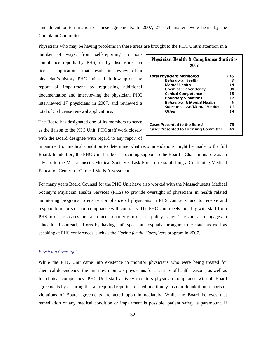amendment or termination of these agreements. In 2007, 27 such matters were heard by the Complaint Committee.

Physicians who may be having problems in these areas are brought to the PHC Unit's attention in a

number of ways, from self-reporting to noncompliance reports by PHS, or by disclosures on license applications that result in review of a physician's history. PHC Unit staff follow up on any report of impairment by requesting additional documentation and interviewing the physician. PHC interviewed 17 physicians in 2007, and reviewed a total of 35 license renewal applications.

The Board has designated one of its members to serve as the liaison to the PHC Unit. PHC staff work closely with the Board designee with regard to any report of

| <b>Physician Health &amp; Compliance Statistics</b><br>2007 |     |  |  |  |
|-------------------------------------------------------------|-----|--|--|--|
| <b>Total Physicians Monitored</b>                           | 116 |  |  |  |
| <b>Behavioral Health</b>                                    | 9   |  |  |  |
| <b>Mental Health</b>                                        | 14  |  |  |  |
| <b>Chemical Dependency</b>                                  | 30  |  |  |  |
| <b>Clinical Competence</b>                                  | 15  |  |  |  |
| <b>Boundary Violations</b>                                  | 17  |  |  |  |
| <b>Behavioral &amp; Mental Health</b>                       | 6   |  |  |  |
| Substance Use/Mental Health                                 | 11  |  |  |  |
| Other                                                       | 14  |  |  |  |
| Cases Presented to the Board                                | 73  |  |  |  |
| <b>Cases Presented to Licensing Committee</b><br>49         |     |  |  |  |

impairment or medical condition to determine what recommendations might be made to the full Board. In addition, the PHC Unit has been providing support to the Board's Chair in his role as an advisor to the Massachusetts Medical Society's Task Force on Establishing a Continuing Medical Education Center for Clinical Skills Assessment.

For many years Board Counsel for the PHC Unit have also worked with the Massachusetts Medical Society's Physician Health Services (PHS) to provide oversight of physicians in health related monitoring programs to ensure compliance of physicians in PHS contracts, and to receive and respond to reports of non-compliance with contracts. The PHC Unit meets monthly with staff from PHS to discuss cases, and also meets quarterly to discuss policy issues. The Unit also engages in educational outreach efforts by having staff speak at hospitals throughout the state, as well as speaking at PHS conferences, such as the *Caring for the Caregivers* program in 2007.

#### *Physician Oversight*

While the PHC Unit came into existence to monitor physicians who were being treated for chemical dependency, the unit now monitors physicians for a variety of health reasons, as well as for clinical competency. PHC Unit staff actively monitors physician compliance with all Board agreements by ensuring that all required reports are filed in a timely fashion. In addition, reports of violations of Board agreements are acted upon immediately. While the Board believes that remediation of any medical condition or impairment is possible, patient safety is paramount. If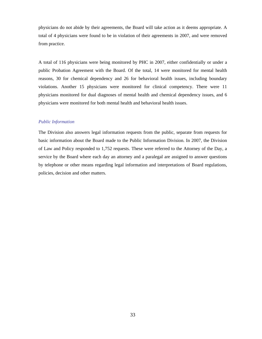physicians do not abide by their agreements, the Board will take action as it deems appropriate. A total of 4 physicians were found to be in violation of their agreements in 2007, and were removed from practice.

A total of 116 physicians were being monitored by PHC in 2007, either confidentially or under a public Probation Agreement with the Board. Of the total, 14 were monitored for mental health reasons, 30 for chemical dependency and 26 for behavioral health issues, including boundary violations. Another 15 physicians were monitored for clinical competency. There were 11 physicians monitored for dual diagnoses of mental health and chemical dependency issues, and 6 physicians were monitored for both mental health and behavioral health issues.

#### *Public Information*

The Division also answers legal information requests from the public, separate from requests for basic information about the Board made to the Public Information Division. In 2007, the Division of Law and Policy responded to 1,752 requests. These were referred to the Attorney of the Day, a service by the Board where each day an attorney and a paralegal are assigned to answer questions by telephone or other means regarding legal information and interpretations of Board regulations, policies, decision and other matters.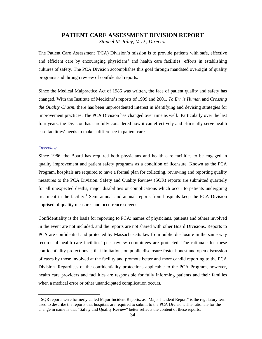# **PATIENT CARE ASSESSMENT DIVISION REPORT**

*Stancel M. Riley, M.D., Director* 

The Patient Care Assessment (PCA) Division's mission is to provide patients with safe, effective and efficient care by encouraging physicians' and health care facilities' efforts in establishing cultures of safety. The PCA Division accomplishes this goal through mandated oversight of quality programs and through review of confidential reports.

Since the Medical Malpractice Act of 1986 was written, the face of patient quality and safety has changed. With the Institute of Medicine's reports of 1999 and 2001, *To Err is Human* and *Crossing the Quality Chasm,* there has been unprecedented interest in identifying and devising strategies for improvement practices. The PCA Division has changed over time as well. Particularly over the last four years, the Division has carefully considered how it can effectively and efficiently serve health care facilities' needs to make a difference in patient care.

#### *Overview*

 $\overline{a}$ 

Since 1986, the Board has required both physicians and health care facilities to be engaged in quality improvement and patient safety programs as a condition of licensure. Known as the PCA Program, hospitals are required to have a formal plan for collecting, reviewing and reporting quality measures to the PCA Division. Safety and Quality Review (SQR) reports are submitted quarterly for all unexpected deaths, major disabilities or complications which occur to patients undergoing treatment in the facility.<sup>[1](#page-37-0)</sup> Semi-annual and annual reports from hospitals keep the PCA Division apprised of quality measures and occurrence screens.

Confidentiality is the basis for reporting to PCA; names of physicians, patients and others involved in the event are not included, and the reports are not shared with other Board Divisions. Reports to PCA are confidential and protected by Massachusetts law from public disclosure in the same way records of health care facilities' peer review committees are protected. The rationale for these confidentiality protections is that limitations on public disclosure foster honest and open discussion of cases by those involved at the facility and promote better and more candid reporting to the PCA Division. Regardless of the confidentiality protections applicable to the PCA Program, however, health care providers and facilities are responsible for fully informing patients and their families when a medical error or other unanticipated complication occurs.

<span id="page-37-0"></span><sup>&</sup>lt;sup>1</sup> SQR reports were formerly called Major Incident Reports, as "Major Incident Report" is the regulatory term used to describe the reports that hospitals are required to submit to the PCA Division. The rationale for the change in name is that "Safety and Quality Review" better reflects the content of these reports.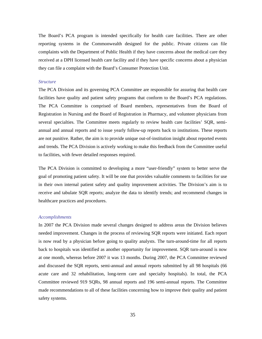The Board's PCA program is intended specifically for health care facilities. There are other reporting systems in the Commonwealth designed for the public. Private citizens can file complaints with the Department of Public Health if they have concerns about the medical care they received at a DPH licensed health care facility and if they have specific concerns about a physician they can file a complaint with the Board's Consumer Protection Unit.

#### *Structure*

The PCA Division and its governing PCA Committee are responsible for assuring that health care facilities have quality and patient safety programs that conform to the Board's PCA regulations. The PCA Committee is comprised of Board members, representatives from the Board of Registration in Nursing and the Board of Registration in Pharmacy, and volunteer physicians from several specialties. The Committee meets regularly to review health care facilities' SQR, semiannual and annual reports and to issue yearly follow-up reports back to institutions. These reports are not punitive. Rather, the aim is to provide unique out-of-institution insight about reported events and trends. The PCA Division is actively working to make this feedback from the Committee useful to facilities, with fewer detailed responses required.

The PCA Division is committed to developing a more "user-friendly" system to better serve the goal of promoting patient safety. It will be one that provides valuable comments to facilities for use in their own internal patient safety and quality improvement activities. The Division's aim is to receive and tabulate SQR reports; analyze the data to identify trends; and recommend changes in healthcare practices and procedures.

#### *Accomplishments*

In 2007 the PCA Division made several changes designed to address areas the Division believes needed improvement. Changes in the process of reviewing SQR reports were initiated. Each report is now read by a physician before going to quality analysts. The turn-around-time for all reports back to hospitals was identified as another opportunity for improvement. SQR turn-around is now at one month, whereas before 2007 it was 13 months. During 2007, the PCA Committee reviewed and discussed the SQR reports, semi-annual and annual reports submitted by all 98 hospitals (66 acute care and 32 rehabilitation, long-term care and specialty hospitals). In total, the PCA Committee reviewed 919 SQRs, 98 annual reports and 196 semi-annual reports. The Committee made recommendations to all of these facilities concerning how to improve their quality and patient safety systems.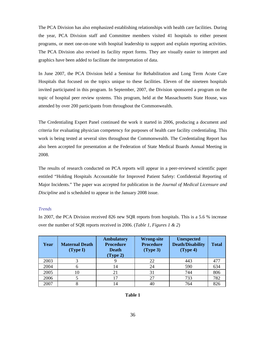The PCA Division has also emphasized establishing relationships with health care facilities. During the year, PCA Division staff and Committee members visited 41 hospitals to either present programs, or meet one-on-one with hospital leadership to support and explain reporting activities. The PCA Division also revised its facility report forms. They are visually easier to interpret and graphics have been added to facilitate the interpretation of data.

In June 2007, the PCA Division held a Seminar for Rehabilitation and Long Term Acute Care Hospitals that focused on the topics unique to these facilities. Eleven of the nineteen hospitals invited participated in this program. In September, 2007, the Division sponsored a program on the topic of hospital peer review systems. This program, held at the Massachusetts State House, was attended by over 200 participants from throughout the Commonwealth.

The Credentialing Expert Panel continued the work it started in 2006, producing a document and criteria for evaluating physician competency for purposes of health care facility credentialing. This work is being tested at several sites throughout the Commonwealth. The Credentialing Report has also been accepted for presentation at the Federation of State Medical Boards Annual Meeting in 2008.

The results of research conducted on PCA reports will appear in a peer-reviewed scientific paper entitled "Holding Hospitals Accountable for Improved Patient Safety: Confidential Reporting of Major Incidents." The paper was accepted for publication in the *Journal of Medical Licensure and Discipline* and is scheduled to appear in the January 2008 issue.

#### *Trends*

In 2007, the PCA Division received 826 new SQR reports from hospitals. This is a 5.6 % increase over the number of SQR reports received in 2006. (*Table 1, Figures 1 & 2*)

| Year | <b>Maternal Death</b><br>(Type I) | <b>Ambulatory</b><br><b>Procedure</b><br><b>Death</b><br>(Type 2) | <b>Wrong-site</b><br><b>Procedure</b><br>(Type 3) | <b>Unexpected</b><br><b>Death/Disability</b><br>(Type 4) | <b>Total</b> |
|------|-----------------------------------|-------------------------------------------------------------------|---------------------------------------------------|----------------------------------------------------------|--------------|
| 2003 |                                   |                                                                   | 22                                                | 443                                                      | 477          |
| 2004 |                                   | 14                                                                | 24                                                | 590                                                      | 634          |
| 2005 | 10                                | 21                                                                | 31                                                | 744                                                      | 806          |
| 2006 |                                   |                                                                   | 27                                                | 733                                                      | 782          |
| 2007 |                                   | 14                                                                |                                                   | 764                                                      | 826          |

| anı |  |
|-----|--|
|-----|--|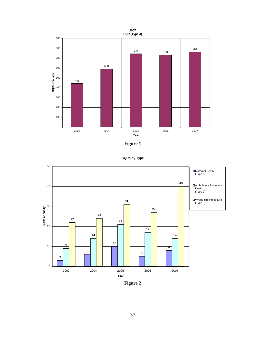







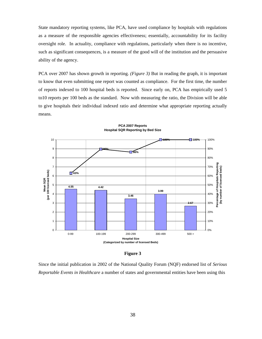State mandatory reporting systems, like PCA, have used compliance by hospitals with regulations as a measure of the responsible agencies effectiveness; essentially, accountability for its facility oversight role. In actuality, compliance with regulations, particularly when there is no incentive, such as significant consequences, is a measure of the good will of the institution and the persuasive ability of the agency.

PCA over 2007 has shown growth in reporting. *(Figure 3)* But in reading the graph, it is important to know that even submitting one report was counted as compliance. For the first time, the number of reports indexed to 100 hospital beds is reported. Since early on, PCA has empirically used 5 to10 reports per 100 beds as the standard. Now with measuring the ratio, the Division will be able to give hospitals their individual indexed ratio and determine what appropriate reporting actually means.



**PCA 2007 Reports Hospital SQR Reporting by Bed Size**

**Figure 3** 

Since the initial publication in 2002 of the National Quality Forum (NQF) endorsed list of *Serious Reportable Events in Healthcare* a number of states and governmental entities have been using this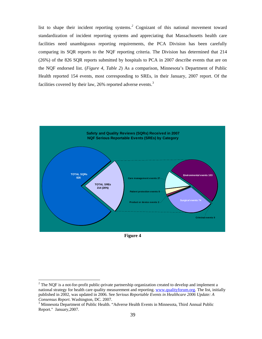list to shape their incident reporting systems.<sup>[2](#page-42-0)</sup> Cognizant of this national movement toward standardization of incident reporting systems and appreciating that Massachusetts health care facilities need unambiguous reporting requirements, the PCA Division has been carefully comparing its SQR reports to the NQF reporting criteria. The Division has determined that 214 (26%) of the 826 SQR reports submitted by hospitals to PCA in 2007 describe events that are on the NQF endorsed list. (*Figure 4, Table 2*) As a comparison, Minnesota's Department of Public Health reported 154 events, most corresponding to SREs, in their January, 2007 report. Of the facilities covered by their law,  $26\%$  reported adverse events.<sup>[3](#page-42-1)</sup>



**Figure 4** 

 $\overline{a}$ 

<span id="page-42-0"></span> $2^2$  The NQF is a not-for-profit public-private partnership organization created to develop and implement a national strategy for health care quality measurement and reporting. www.qualityforum.org. The list, initially published in 2002, was updated in 2006. See *Serious Reportable Events in Healthcare 2006 Update: A Consensus Report.* Washington, DC. 2007.

<span id="page-42-1"></span><sup>&</sup>lt;sup>3</sup> Minnesota Department of Public Health. "Adverse Health Events in Minnesota, Third Annual Public Report." January,2007.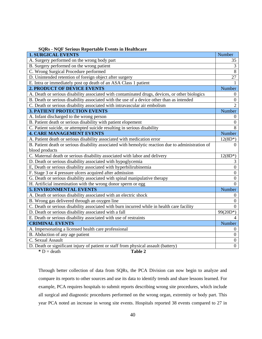| <b>SQRs - NQF Serious Reportable Events in Healthcare</b>                                          |                  |
|----------------------------------------------------------------------------------------------------|------------------|
| <b>1. SURGICAL EVENTS</b>                                                                          | Number           |
| A. Surgery performed on the wrong body part                                                        | 35               |
| B. Surgery performed on the wrong patient                                                          | 3                |
| C. Wrong Surgical Procedure performed                                                              | $\,8\,$          |
| D. Unintended retention of foreign object after surgery                                            | 27               |
| E. Intra or immediately post op death of an ASA Class 1 patient                                    |                  |
| <b>2. PRODUCT OF DEVICE EVENTS</b>                                                                 | Number           |
| A. Death or serious disability associated with contaminated drugs, devices, or other biologics     | $\theta$         |
| B. Death or serious disability associated with the use of a device other than as intended          | $\boldsymbol{0}$ |
| C. Death or serious disability associated with intravascular air embolism                          | $\overline{2}$   |
| <b>3. PATIENT PROTECTION EVENTS</b>                                                                | Number           |
| A. Infant discharged to the wrong person                                                           | $\theta$         |
| B. Patient death or serious disability with patient elopement                                      | $\mathbf{0}$     |
| C. Patient suicide, or attempted suicide resulting in serious disability                           | 8                |
| <b>4. CARE MANAGEMENT EVENTS</b>                                                                   | Number           |
| A. Patient death or serious disability associated with medication error                            | $12(8D*)$        |
| B. Patient death or serious disability associated with hemolytic reaction due to administration of | $\theta$         |
| blood products                                                                                     |                  |
| C. Maternal death or serious disability associated with labor and delivery                         | $12(8D*)$        |
| D. Death or serious disability associated with hypoglycemia                                        | 3                |
| E, Death or serious disability associated with hyperbilirubinemia                                  | $\boldsymbol{0}$ |
| F. Stage 3 or 4 pressure ulcers acquired after admission                                           | $\boldsymbol{0}$ |
| G. Death or serious disability associated with spinal manipulative therapy                         | $\boldsymbol{0}$ |
| H. Artificial insemination with the wrong donor sperm or egg                                       | $\Omega$         |
| <b>5. ENVIRONMENTAL EVENTS</b>                                                                     | Number           |
| A. Death or serious disability associated with an electric shock                                   | $\theta$         |
| B. Wrong gas delivered through an oxygen line                                                      | $\boldsymbol{0}$ |
| C. Death or serious disability associated with burn incurred while in health care facility         | $\Omega$         |
| D. Death or serious disability associated with a fall                                              | $99(20D*)$       |
| E. Death or serious disability associated with use of restraints                                   |                  |
| <b>CRIMINAL EVENTS</b>                                                                             | Number           |
| A. Impersonating a licensed health care professional                                               | $\theta$         |
| B. Abduction of any age patient                                                                    | $\boldsymbol{0}$ |
| C. Sexual Assault                                                                                  | $\boldsymbol{0}$ |
| D. Death or significant injury of patient or staff from physical assault (battery)                 | $\overline{0}$   |
| $\ast$ D = death<br>Table 2                                                                        |                  |

Through better collection of data from SQRs, the PCA Division can now begin to analyze and compare its reports to other sources and use its data to identify trends and share lessons learned. For example, PCA requires hospitals to submit reports describing wrong site procedures, which include all surgical and diagnostic procedures performed on the wrong organ, extremity or body part. This year PCA noted an increase in wrong site events. Hospitals reported 38 events compared to 27 in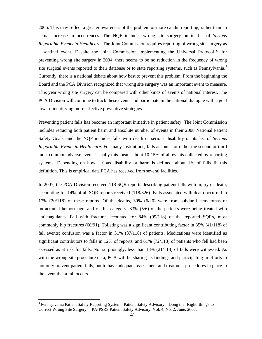2006. This may reflect a greater awareness of the problem or more candid reporting, rather than an actual increase in occurrences. The NQF includes wrong site surgery on its list of *Serious Reportable Events in Healthcare*. The Joint Commission requires reporting of wrong site surgery as a sentinel event. Despite the Joint Commission implementing the Universal Protocol™ for preventing wrong site surgery in 2004, there seems to be no reduction in the frequency of wrong site surgical events reported to their database or to state reporting systems, such as Pennsylvania.<sup>[4](#page-44-0)</sup> Currently, there is a national debate about how best to prevent this problem. From the beginning the Board and the PCA Division recognized that wrong site surgery was an important event to measure. This year wrong site surgery can be compared with other kinds of events of national interest. The PCA Division will continue to track these events and participate in the national dialogue with a goal toward identifying more effective preventive strategies.

Preventing patient falls has become an important initiative in patient safety. The Joint Commission includes reducing both patient harm and absolute number of events in their 2008 National Patient Safety Goals, and the NQF includes falls with death or serious disability on its list of *Serious Reportable Events in Healthcare*. For many institutions, falls account for either the second or third most common adverse event. Usually this means about 10-15% of all events collected by reporting systems. Depending on how serious disability or harm is defined, about 1% of falls fit this definition. This is empirical data PCA has received from several facilities.

In 2007, the PCA Division received 118 SQR reports describing patient falls with injury or death, accounting for 14% of all SQR reports received (118/826). Falls associated with death occurred in 17% (20/118) of these reports. Of the deaths, 30% (6/20) were from subdural hematomas or intracranial hemorrhage, and of this category, 83% (5/6) of the patients were being treated with anticoagulants. Fall with fracture accounted for 84% (99/118) of the reported SQRs, most commonly hip fractures (60/91). Toileting was a significant contributing factor in 35% (41/118) of fall events; confusion was a factor in 31% (37/118) of patients. Medications were identified as significant contributors to falls in 12% of reports, and 61% (72/118) of patients who fell had been assessed as at risk for falls. Not surprisingly, less than 18% (21/118) of falls were witnessed. As with the wrong site procedure data, PCA will be sharing its findings and participating in efforts to not only prevent patient falls, but to have adequate assessment and treatment procedures in place in the event that a fall occurs.

 $\overline{a}$ 

<span id="page-44-0"></span><sup>&</sup>lt;sup>4</sup> Pennsylvania Patient Safety Reporting System. Patient Safety Advisory. "Dong the 'Right' things to Correct Wrong Site Surgery". PA-PSRS Patient Safety Advisory, Vol. 4, No. 2, June, 2007.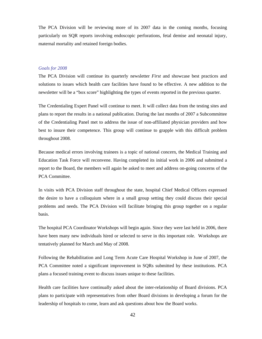The PCA Division will be reviewing more of its 2007 data in the coming months, focusing particularly on SQR reports involving endoscopic perforations, fetal demise and neonatal injury, maternal mortality and retained foreign bodies.

#### *Goals for 2008*

The PCA Division will continue its quarterly newsletter *First* and showcase best practices and solutions to issues which health care facilities have found to be effective. A new addition to the newsletter will be a "box score" highlighting the types of events reported in the previous quarter.

The Credentialing Expert Panel will continue to meet. It will collect data from the testing sites and plans to report the results in a national publication. During the last months of 2007 a Subcommittee of the Credentialing Panel met to address the issue of non-affiliated physician providers and how best to insure their competence. This group will continue to grapple with this difficult problem throughout 2008.

Because medical errors involving trainees is a topic of national concern, the Medical Training and Education Task Force will reconvene. Having completed its initial work in 2006 and submitted a report to the Board, the members will again be asked to meet and address on-going concerns of the PCA Committee.

In visits with PCA Division staff throughout the state, hospital Chief Medical Officers expressed the desire to have a colloquium where in a small group setting they could discuss their special problems and needs. The PCA Division will facilitate bringing this group together on a regular basis.

The hospital PCA Coordinator Workshops will begin again. Since they were last held in 2006, there have been many new individuals hired or selected to serve in this important role. Workshops are tentatively planned for March and May of 2008.

Following the Rehabilitation and Long Term Acute Care Hospital Workshop in June of 2007, the PCA Committee noted a significant improvement in SQRs submitted by these institutions. PCA plans a focused training event to discuss issues unique to these facilities.

Health care facilities have continually asked about the inter-relationship of Board divisions. PCA plans to participate with representatives from other Board divisions in developing a forum for the leadership of hospitals to come, learn and ask questions about how the Board works.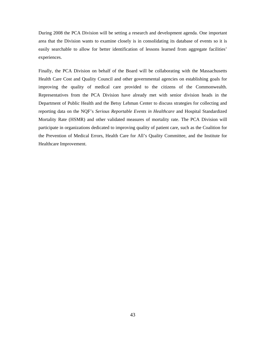During 2008 the PCA Division will be setting a research and development agenda. One important area that the Division wants to examine closely is in consolidating its database of events so it is easily searchable to allow for better identification of lessons learned from aggregate facilities' experiences.

Finally, the PCA Division on behalf of the Board will be collaborating with the Massachusetts Health Care Cost and Quality Council and other governmental agencies on establishing goals for improving the quality of medical care provided to the citizens of the Commonwealth. Representatives from the PCA Division have already met with senior division heads in the Department of Public Health and the Betsy Lehman Center to discuss strategies for collecting and reporting data on the NQF's *Serious Reportable Events in Healthcare* and Hospital Standardized Mortality Rate (HSMR) and other validated measures of mortality rate. The PCA Division will participate in organizations dedicated to improving quality of patient care, such as the Coalition for the Prevention of Medical Errors, Health Care for All's Quality Committee, and the Institute for Healthcare Improvement.